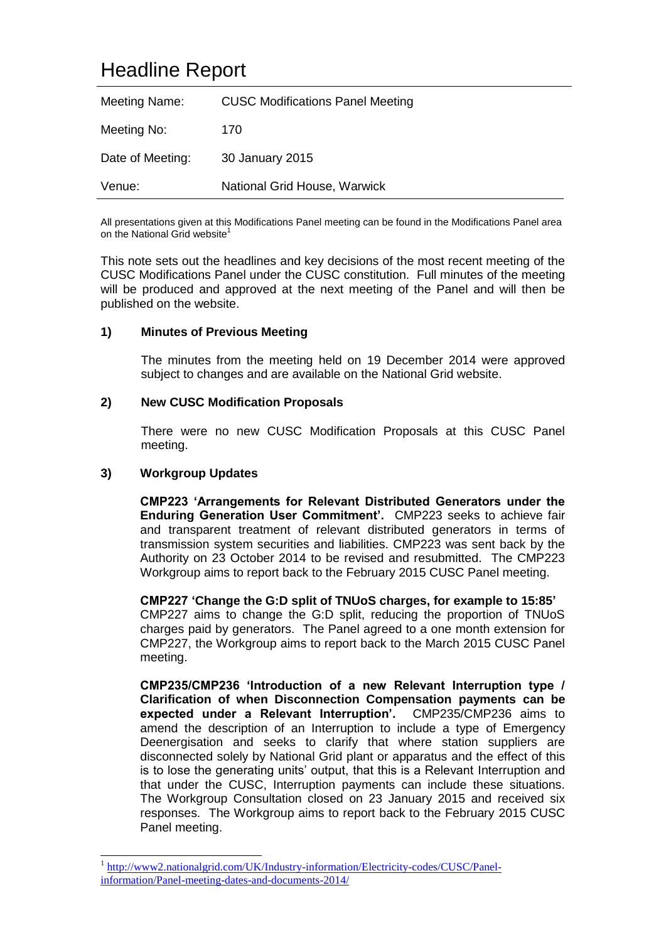# Headline Report

| Meeting Name:    | <b>CUSC Modifications Panel Meeting</b> |
|------------------|-----------------------------------------|
| Meeting No:      | 170                                     |
| Date of Meeting: | 30 January 2015                         |
| Venue:           | National Grid House, Warwick            |

All presentations given at this Modifications Panel meeting can be found in the Modifications Panel area on the National Grid website<sup>1</sup>

This note sets out the headlines and key decisions of the most recent meeting of the CUSC Modifications Panel under the CUSC constitution. Full minutes of the meeting will be produced and approved at the next meeting of the Panel and will then be published on the website.

# **1) Minutes of Previous Meeting**

The minutes from the meeting held on 19 December 2014 were approved subject to changes and are available on the National Grid website.

# **2) New CUSC Modification Proposals**

There were no new CUSC Modification Proposals at this CUSC Panel meeting.

# **3) Workgroup Updates**

-

**CMP223 'Arrangements for Relevant Distributed Generators under the Enduring Generation User Commitment'.** CMP223 seeks to achieve fair and transparent treatment of relevant distributed generators in terms of transmission system securities and liabilities. CMP223 was sent back by the Authority on 23 October 2014 to be revised and resubmitted. The CMP223 Workgroup aims to report back to the February 2015 CUSC Panel meeting.

**CMP227 'Change the G:D split of TNUoS charges, for example to 15:85'** CMP227 aims to change the G:D split, reducing the proportion of TNUoS charges paid by generators. The Panel agreed to a one month extension for CMP227, the Workgroup aims to report back to the March 2015 CUSC Panel meeting.

**CMP235/CMP236 'Introduction of a new Relevant Interruption type / Clarification of when Disconnection Compensation payments can be expected under a Relevant Interruption'.** CMP235/CMP236 aims to amend the description of an Interruption to include a type of Emergency Deenergisation and seeks to clarify that where station suppliers are disconnected solely by National Grid plant or apparatus and the effect of this is to lose the generating units' output, that this is a Relevant Interruption and that under the CUSC, Interruption payments can include these situations. The Workgroup Consultation closed on 23 January 2015 and received six responses. The Workgroup aims to report back to the February 2015 CUSC Panel meeting.

<sup>1</sup> [http://www2.nationalgrid.com/UK/Industry-information/Electricity-codes/CUSC/Panel](http://www2.nationalgrid.com/UK/Industry-information/Electricity-codes/CUSC/Panel-information/Panel-meeting-dates-and-documents-2014/)[information/Panel-meeting-dates-and-documents-2014/](http://www2.nationalgrid.com/UK/Industry-information/Electricity-codes/CUSC/Panel-information/Panel-meeting-dates-and-documents-2014/)